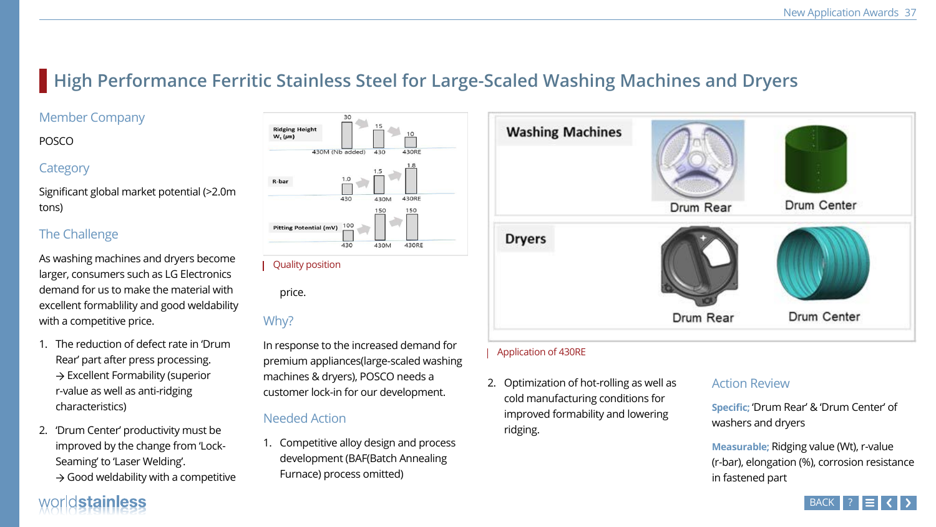# **High Performance Ferritic Stainless Steel for Large-Scaled Washing Machines and Dryers**

## Member Company

#### POSCO

## **Category**

Significant global market potential (>2.0m tons)

## The Challenge

As washing machines and dryers become larger, consumers such as LG Electronics demand for us to make the material with excellent formablility and good weldability with a competitive price.

- The reduction of defect rate in 'Drum Rear' part after press processing.  $\rightarrow$  Excellent Formability (superior r-value as well as anti-ridging characteristics)
- 2. 'Drum Center' productivity must be improved by the change from 'Lock-Seaming' to 'Laser Welding'.
	- $\rightarrow$  Good weldability with a competitive

# worldstainless



price.

## Why?

In response to the increased demand for premium appliances(large-scaled washing machines & dryers), POSCO needs a customer lock-in for our development.

## Needed Action

1. Competitive alloy design and process development (BAF(Batch Annealing Furnace) process omitted)

2. Optimization of hot-rolling as well as cold manufacturing conditions for improved formability and lowering ridging.

#### Action Review

**Specific;** 'Drum Rear' & 'Drum Center' of washers and dryers

**Measurable;** Ridging value (Wt), r-value (r-bar), elongation (%), corrosion resistance in fastened part

#### Quality position

#### Application of 430RE